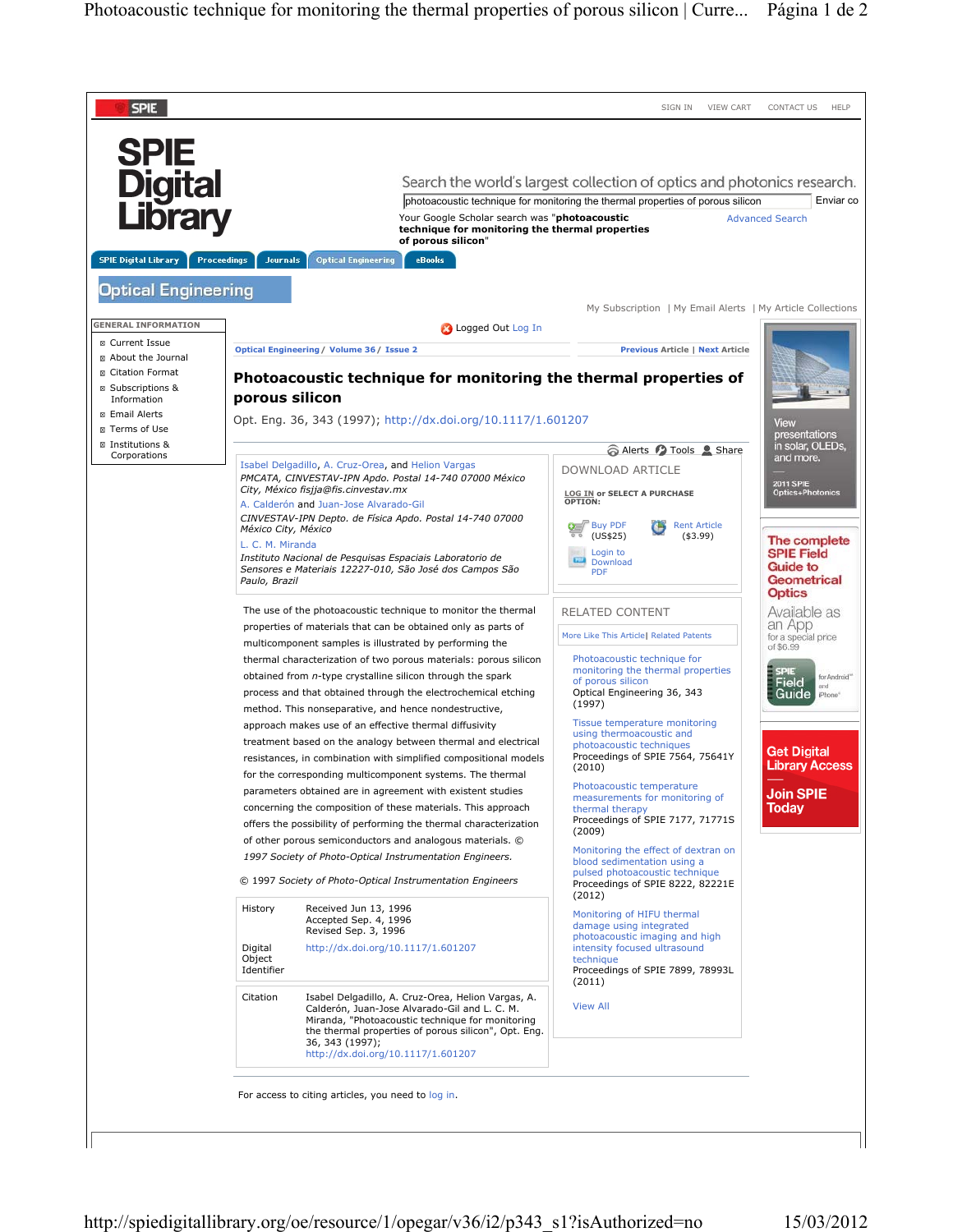